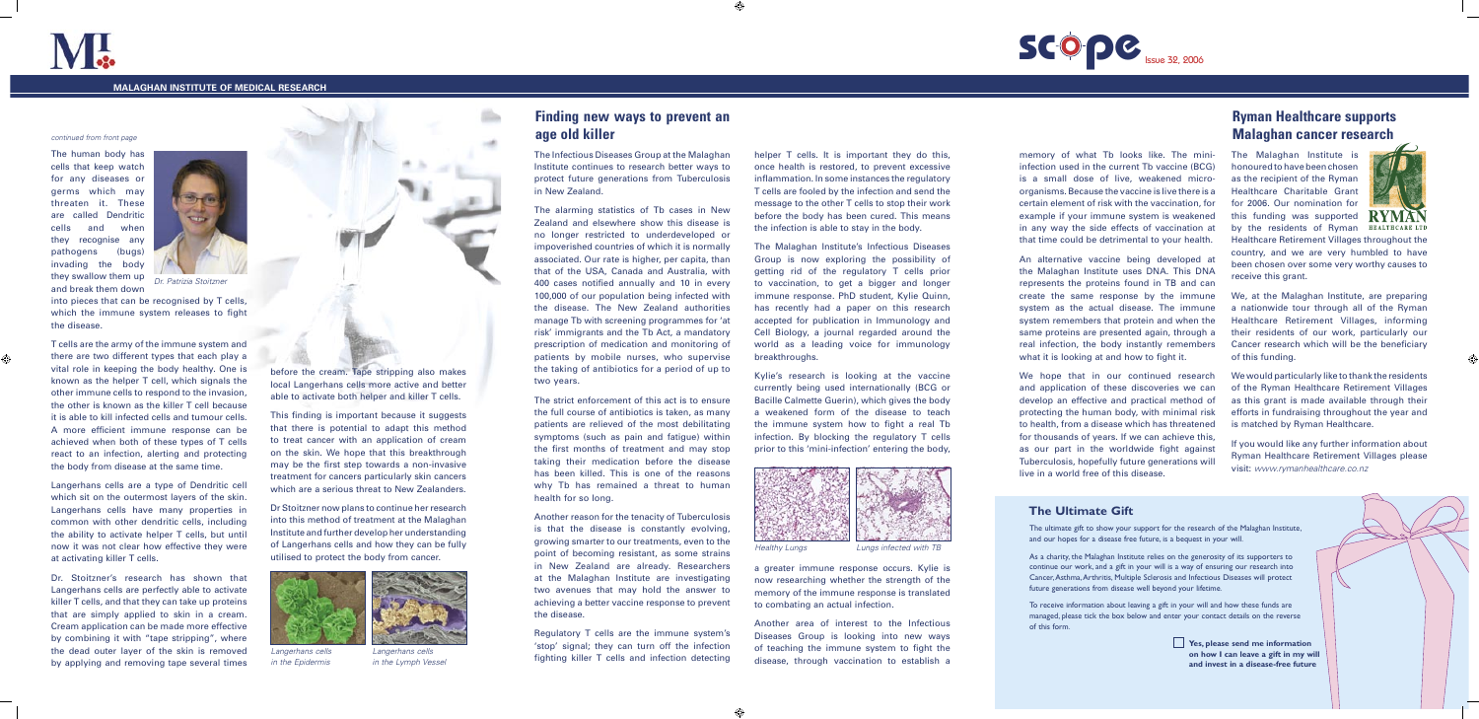The ultimate gift to show your support for the research of the Malaghan Institute, and our hopes for a disease free future, is a bequest in your will.

As a charity, the Malaghan Institute relies on the generosity of its supporters to continue our work, and a gift in your will is a way of ensuring our research into Cancer, Asthma, Arthritis, Multiple Sclerosis and Infectious Diseases will protect future generations from disease well beyond your lifetime.

To receive information about leaving a gift in your will and how these funds are managed, please tick the box below and enter your contact details on the reverse of this form.

#### continued from front page

The human body has cells that keep watch for any diseases or germs which may threaten it. These are called Dendritic cells and when they recognise any pathogens (bugs) invading the body they swallow them up and break them down

into pieces that can be recognised by T cells, which the immune system releases to fight the disease.

T cells are the army of the immune system and there are two different types that each play a vital role in keeping the body healthy. One is known as the helper T cell, which signals the other immune cells to respond to the invasion, the other is known as the killer T cell because it is able to kill infected cells and tumour cells. A more efficient immune response can be achieved when both of these types of T cells react to an infection, alerting and protecting the body from disease at the same time.

Langerhans cells are a type of Dendritic cell which sit on the outermost layers of the skin. Langerhans cells have many properties in common with other dendritic cells, including the ability to activate helper T cells, but until now it was not clear how effective they were at activating killer T cells.

The alarming statistics of Tb cases in New Zealand and elsewhere show this disease is no longer restricted to underdeveloped or impoverished countries of which it is normally associated. Our rate is higher, per capita, than that of the USA, Canada and Australia, with 400 cases notified annually and 10 in every 100,000 of our population being infected with the disease. The New Zealand authorities manage Tb with screening programmes for 'at risk' immigrants and the Tb Act, a mandatory prescription of medication and monitoring of patients by mobile nurses, who supervise the taking of antibiotics for a period of up to two years.

Dr. Stoitzner's research has shown that Langerhans cells are perfectly able to activate killer T cells, and that they can take up proteins that are simply applied to skin in a cream. Cream application can be made more effective by combining it with "tape stripping", where the dead outer layer of the skin is removed by applying and removing tape several times



helper T cells. It is important they do this, once health is restored, to prevent excessive inflammation. In some instances the regulatory T cells are fooled by the infection and send the message to the other T cells to stop their work before the body has been cured. This means the infection is able to stay in the body.

This finding is important because it suggests that there is potential to adapt this method to treat cancer with an application of cream on the skin. We hope that this breakthrough may be the first step towards a non-invasive treatment for cancers particularly skin cancers which are a serious threat to New Zealanders.

Dr Stoitzner now plans to continue her research into this method of treatment at the Malaghan Institute and further develop her understanding of Langerhans cells and how they can be fully utilised to protect the body from cancer.

The Infectious Diseases Group at the Malaghan Institute continues to research better ways to protect future generations from Tuberculosis in New Zealand.

The strict enforcement of this act is to ensure the full course of antibiotics is taken, as many patients are relieved of the most debilitating symptoms (such as pain and fatigue) within the first months of treatment and may stop taking their medication before the disease has been killed. This is one of the reasons why Tb has remained a threat to human health for so long.

Another reason for the tenacity of Tuberculosis is that the disease is constantly evolving, growing smarter to our treatments, even to the point of becoming resistant, as some strains in New Zealand are already. Researchers at the Malaghan Institute are investigating two avenues that may hold the answer to achieving a better vaccine response to prevent the disease.

Regulatory T cells are the immune system's 'stop' signal; they can turn off the infection fighting killer T cells and infection detecting The Malaghan Institute's Infectious Diseases Group is now exploring the possibility of getting rid of the regulatory T cells prior to vaccination, to get a bigger and longer immune response. PhD student, Kylie Quinn, has recently had a paper on this research accepted for publication in Immunology and Cell Biology, a journal regarded around the world as a leading voice for immunology breakthroughs.

Kylie's research is looking at the vaccine currently being used internationally (BCG or Bacille Calmette Guerin), which gives the body a weakened form of the disease to teach the immune system how to fight a real Tb infection. By blocking the regulatory T cells prior to this 'mini-infection' entering the body,

### **Finding new ways to prevent an age old killer**

memory of what Tb looks like. The mini-

infection used in the current Tb vaccine (BCG) is a small dose of live, weakened microorganisms. Because the vaccine is live there is a certain element of risk with the vaccination, for example if your immune system is weakened in any way the side effects of vaccination at that time could be detrimental to your health.

An alternative vaccine being developed at the Malaghan Institute uses DNA. This DNA represents the proteins found in TB and can create the same response by the immune system as the actual disease. The immune system remembers that protein and when the same proteins are presented again, through a real infection, the body instantly remembers what it is looking at and how to fight it.

We hope that in our continued research and application of these discoveries we can develop an effective and practical method of protecting the human body, with minimal risk to health, from a disease which has threatened for thousands of years. If we can achieve this, as our part in the worldwide fight against Tuberculosis, hopefully future generations will live in a world free of this disease.



#### **MALAGHAN INSTITUTE OF MEDICAL RESEARCH**



Langerhans cells in the Epidermis



Langerhans cells in the Lymph Vessel



# **The Ultimate Gift**

**Yes, please send me information on how I can leave a gift in my will and invest in a disease-free future**



a greater immune response occurs. Kylie is now researching whether the strength of the memory of the immune response is translated to combating an actual infection.

Another area of interest to the Infectious Diseases Group is looking into new ways of teaching the immune system to fight the disease, through vaccination to establish a **SCOPC** Issue 32, 2006



The Malaghan Institute is honoured to have been chosen as the recipient of the Ryman Healthcare Charitable Grant for 2006. Our nomination for this funding was supported by the residents of Ryman



Healthcare Retirement Villages throughout the country, and we are very humbled to have been chosen over some very worthy causes to receive this grant.

We, at the Malaghan Institute, are preparing a nationwide tour through all of the Ryman Healthcare Retirement Villages, informing their residents of our work, particularly our Cancer research which will be the beneficiary of this funding.

We would particularly like to thank the residents of the Ryman Healthcare Retirement Villages as this grant is made available through their efforts in fundraising throughout the year and is matched by Ryman Healthcare.

If you would like any further information about Ryman Healthcare Retirement Villages please visit: www.rymanhealthcare.co.nz

## **Ryman Healthcare supports Malaghan cancer research**



Dr. Patrizia Stoitzner